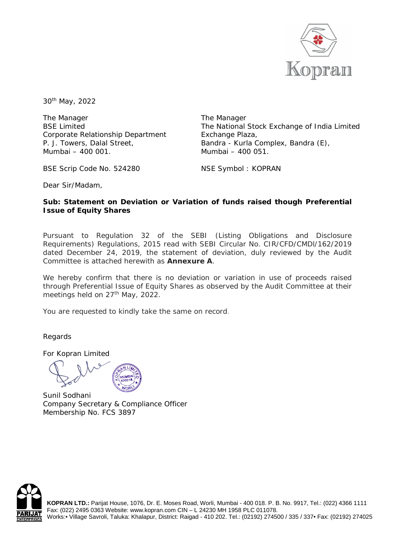

30th May, 2022

The Manager BSE Limited Corporate Relationship Department P. J. Towers, Dalal Street, Mumbai – 400 001.

The Manager The National Stock Exchange of India Limited Exchange Plaza, Bandra - Kurla Complex, Bandra (E), Mumbai – 400 051.

BSE Scrip Code No. 524280

NSE Symbol : KOPRAN

Dear Sir/Madam,

## **Sub: Statement on Deviation or Variation of funds raised though Preferential Issue of Equity Shares**

Pursuant to Regulation 32 of the SEBI (Listing Obligations and Disclosure Requirements) Regulations, 2015 read with SEBI Circular No. CIR/CFD/CMDl/162/2019 dated December 24, 2019, the statement of deviation, duly reviewed by the Audit Committee is attached herewith as **Annexure A**.

We hereby confirm that there is no deviation or variation in use of proceeds raised through Preferential Issue of Equity Shares as observed by the Audit Committee at their meetings held on 27<sup>th</sup> May, 2022.

You are requested to kindly take the same on record.

Regards

For Kopran Limited

Sunil Sodhani Company Secretary & Compliance Officer Membership No. FCS 3897



**KOPRAN LTD.:** Parijat House, 1076, Dr. E. Moses Road, Worli, Mumbai - 400 018. P. B. No. 9917, Tel.: (022) 4366 1111 Fax: (022) 2495 0363 Website: www.kopran.com CIN – L 24230 MH 1958 PLC 011078. Works:• Village Savroli, Taluka: Khalapur, District: Raigad - 410 202. Tel.: (02192) 274500 / 335 / 337• Fax: (02192) 274025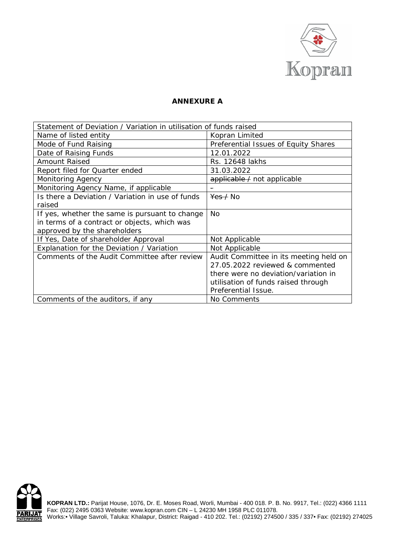

## **ANNEXURE A**

| Statement of Deviation / Variation in utilisation of funds raised |                                        |  |  |  |
|-------------------------------------------------------------------|----------------------------------------|--|--|--|
| Name of listed entity                                             | Kopran Limited                         |  |  |  |
| Mode of Fund Raising                                              | Preferential Issues of Equity Shares   |  |  |  |
| Date of Raising Funds                                             | 12.01.2022                             |  |  |  |
| <b>Amount Raised</b>                                              | Rs. 12648 lakhs                        |  |  |  |
| Report filed for Quarter ended                                    | 31.03.2022                             |  |  |  |
| Monitoring Agency                                                 | applicable / not applicable            |  |  |  |
| Monitoring Agency Name, if applicable                             |                                        |  |  |  |
| Is there a Deviation / Variation in use of funds                  | $\frac{\text{Yes}}{\text{Yes}}$ No     |  |  |  |
| raised                                                            |                                        |  |  |  |
| If yes, whether the same is pursuant to change                    | <b>No</b>                              |  |  |  |
| in terms of a contract or objects, which was                      |                                        |  |  |  |
| approved by the shareholders                                      |                                        |  |  |  |
| If Yes, Date of shareholder Approval                              | Not Applicable                         |  |  |  |
| Explanation for the Deviation / Variation                         | Not Applicable                         |  |  |  |
| Comments of the Audit Committee after review                      | Audit Committee in its meeting held on |  |  |  |
|                                                                   | 27.05.2022 reviewed & commented        |  |  |  |
|                                                                   | there were no deviation/variation in   |  |  |  |
|                                                                   | utilisation of funds raised through    |  |  |  |
|                                                                   | Preferential Issue.                    |  |  |  |
| Comments of the auditors, if any                                  | No Comments                            |  |  |  |